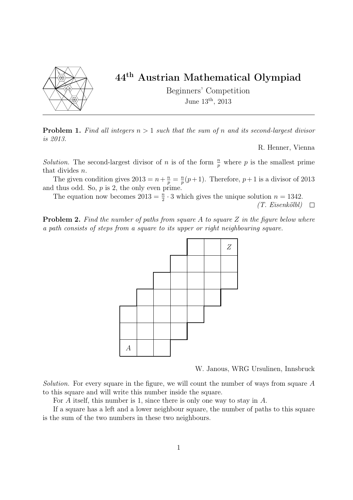

## 44th Austrian Mathematical Olympiad

Beginners' Competition June 13th, 2013

**Problem 1.** Find all integers  $n > 1$  such that the sum of n and its second-largest divisor is 2013.

R. Henner, Vienna

Solution. The second-largest divisor of n is of the form  $\frac{n}{p}$  where p is the smallest prime that divides n.

The given condition gives  $2013 = n + \frac{n}{p} = \frac{n}{p}$  $\frac{n}{p}(p+1)$ . Therefore,  $p+1$  is a divisor of 2013 and thus odd. So,  $p$  is 2, the only even prime.

The equation now becomes  $2013 = \frac{n}{2} \cdot 3$  which gives the unique solution  $n = 1342$ . (T. Eisenkölbl)  $\Box$ 

**Problem 2.** Find the number of paths from square A to square  $Z$  in the figure below where a path consists of steps from a square to its upper or right neighbouring square.



W. Janous, WRG Ursulinen, Innsbruck

Solution. For every square in the figure, we will count the number of ways from square A to this square and will write this number inside the square.

For A itself, this number is 1, since there is only one way to stay in A.

If a square has a left and a lower neighbour square, the number of paths to this square is the sum of the two numbers in these two neighbours.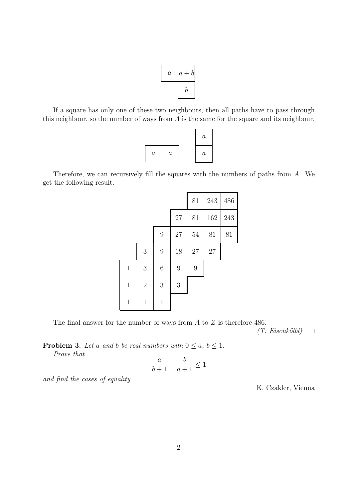

If a square has only one of these two neighbours, then all paths have to pass through this neighbour, so the number of ways from A is the same for the square and its neighbour.



Therefore, we can recursively fill the squares with the numbers of paths from A. We get the following result:

|              |              |                  |                | 81     | 243 | 486 |
|--------------|--------------|------------------|----------------|--------|-----|-----|
|              |              |                  | $27\,$         | 81     | 162 | 243 |
|              |              | $\boldsymbol{9}$ | $27\,$         | $54\,$ | 81  | 81  |
|              | $\sqrt{3}$   | $\overline{9}$   | 18             | $27\,$ | 27  |     |
| $1\,$        | $\sqrt{3}$   | $\!6\,$          | $\overline{9}$ | 9      |     |     |
| $\mathbf{1}$ | $\sqrt{2}$   | 3                | 3              |        |     |     |
| $\mathbf{1}$ | $\mathbf{1}$ | $\mathbf 1$      |                |        |     |     |

The final answer for the number of ways from  $A$  to  $Z$  is therefore 486.

 $(T. Eisenköll) \square$ 

**Problem 3.** Let a and b be real numbers with  $0 \le a, b \le 1$ . Prove that

$$
\frac{a}{b+1} + \frac{b}{a+1} \le 1
$$

and find the cases of equality.

K. Czakler, Vienna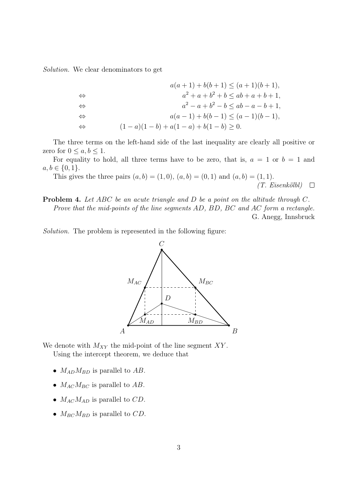Solution. We clear denominators to get

$$
a(a + 1) + b(b + 1) \le (a + 1)(b + 1),
$$
  
\n
$$
\Leftrightarrow \qquad a^2 + a + b^2 + b \le ab + a + b + 1,
$$
  
\n
$$
\Leftrightarrow \qquad a^2 - a + b^2 - b \le ab - a - b + 1,
$$
  
\n
$$
\Leftrightarrow \qquad a(a - 1) + b(b - 1) \le (a - 1)(b - 1),
$$
  
\n
$$
\Leftrightarrow \qquad (1 - a)(1 - b) + a(1 - a) + b(1 - b) \ge 0.
$$

The three terms on the left-hand side of the last inequality are clearly all positive or zero for  $0 \leq a, b \leq 1$ .

For equality to hold, all three terms have to be zero, that is,  $a = 1$  or  $b = 1$  and  $a, b \in \{0, 1\}.$ 

This gives the three pairs  $(a, b) = (1, 0), (a, b) = (0, 1)$  and  $(a, b) = (1, 1)$ . (T. Eisenkölbl)  $\Box$ 

Problem 4. Let ABC be an acute triangle and D be a point on the altitude through C. Prove that the mid-points of the line segments AD, BD, BC and AC form a rectangle. G. Anegg, Innsbruck

Solution. The problem is represented in the following figure:



We denote with  $M_{XY}$  the mid-point of the line segment  $XY$ .

Using the intercept theorem, we deduce that

- $M_{AD}M_{BD}$  is parallel to  $AB$ .
- $M_{AC}M_{BC}$  is parallel to  $AB$ .
- $M_{AC}M_{AD}$  is parallel to  $CD$ .
- $M_{BC}M_{BD}$  is parallel to CD.